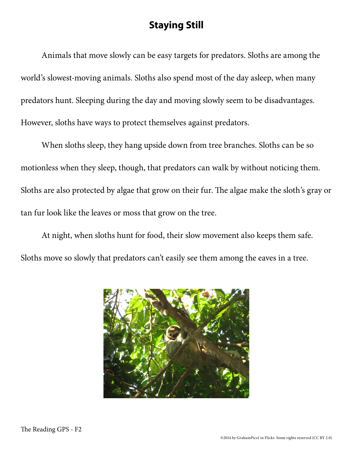## **Staying Still**

Animals that move slowly can be easy targets for predators. Sloths are among the world's slowest-moving animals. Sloths also spend most of the day asleep, when many predators hunt. Sleeping during the day and moving slowly seem to be disadvantages. However, sloths have ways to protect themselves against predators.

When sloths sleep, they hang upside down from tree branches. Sloths can be so motionless when they sleep, though, that predators can walk by without noticing them. Sloths are also protected by algae that grow on their fur. The algae make the sloth's gray or tan fur look like the leaves or moss that grow on the tree.

At night, when sloths hunt for food, their slow movement also keeps them safe. Sloths move so slowly that predators can't easily see them among the eaves in a tree.